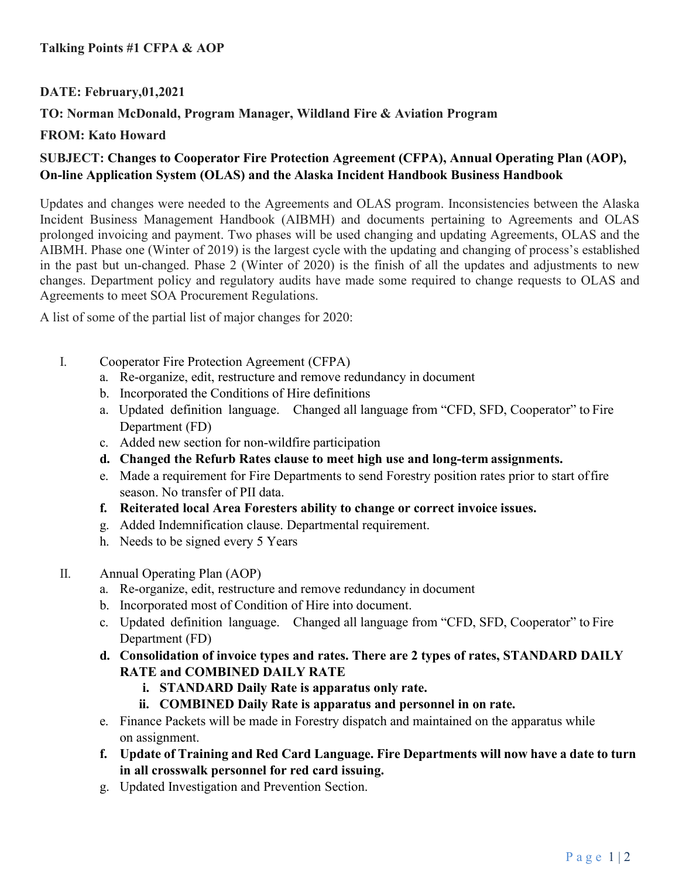### **Talking Points #1 CFPA & AOP**

### **DATE: February,01,2021**

## **TO: Norman McDonald, Program Manager, Wildland Fire & Aviation Program**

#### **FROM: Kato Howard**

# **SUBJECT: Changes to Cooperator Fire Protection Agreement (CFPA), Annual Operating Plan (AOP), On-line Application System (OLAS) and the Alaska Incident Handbook Business Handbook**

Updates and changes were needed to the Agreements and OLAS program. Inconsistencies between the Alaska Incident Business Management Handbook (AIBMH) and documents pertaining to Agreements and OLAS prolonged invoicing and payment. Two phases will be used changing and updating Agreements, OLAS and the AIBMH. Phase one (Winter of 2019) is the largest cycle with the updating and changing of process's established in the past but un-changed. Phase 2 (Winter of 2020) is the finish of all the updates and adjustments to new changes. Department policy and regulatory audits have made some required to change requests to OLAS and Agreements to meet SOA Procurement Regulations.

A list of some of the partial list of major changes for 2020:

- I. Cooperator Fire Protection Agreement (CFPA)
	- a. Re-organize, edit, restructure and remove redundancy in document
	- b. Incorporated the Conditions of Hire definitions
	- a. Updated definition language. Changed all language from "CFD, SFD, Cooperator" to Fire Department (FD)
	- c. Added new section for non-wildfire participation
	- **d. Changed the Refurb Rates clause to meet high use and long-term assignments.**
	- e. Made a requirement for Fire Departments to send Forestry position rates prior to start of fire season. No transfer of PII data.
	- **f. Reiterated local Area Foresters ability to change or correct invoice issues.**
	- g. Added Indemnification clause. Departmental requirement.
	- h. Needs to be signed every 5 Years
- II. Annual Operating Plan (AOP)
	- a. Re-organize, edit, restructure and remove redundancy in document
	- b. Incorporated most of Condition of Hire into document.
	- c. Updated definition language. Changed all language from "CFD, SFD, Cooperator" to Fire Department (FD)
	- **d. Consolidation of invoice types and rates. There are 2 types of rates, STANDARD DAILY RATE and COMBINED DAILY RATE**
		- **i. STANDARD Daily Rate is apparatus only rate.**
		- **ii. COMBINED Daily Rate is apparatus and personnel in on rate.**
	- e. Finance Packets will be made in Forestry dispatch and maintained on the apparatus while on assignment.
	- **f. Update of Training and Red Card Language. Fire Departments will now have a date to turn in all crosswalk personnel for red card issuing.**
	- g. Updated Investigation and Prevention Section.